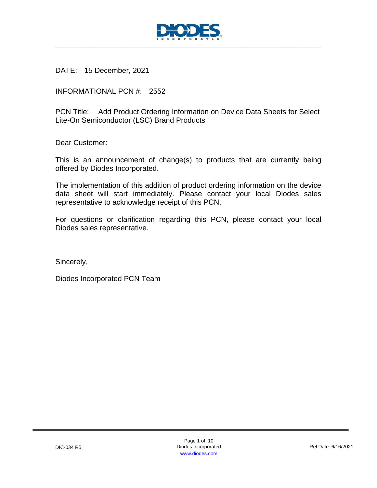

DATE: 15 December, 2021

INFORMATIONAL PCN #: 2552

PCN Title: Add Product Ordering Information on Device Data Sheets for Select Lite-On Semiconductor (LSC) Brand Products

Dear Customer:

This is an announcement of change(s) to products that are currently being offered by Diodes Incorporated.

The implementation of this addition of product ordering information on the device data sheet will start immediately. Please contact your local Diodes sales representative to acknowledge receipt of this PCN.

For questions or clarification regarding this PCN, please contact your local Diodes sales representative.

Sincerely,

Diodes Incorporated PCN Team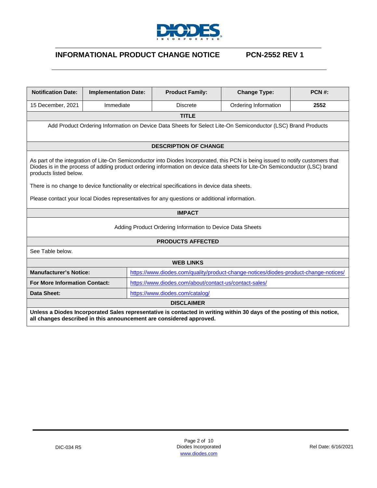

## **INFORMATIONAL PRODUCT CHANGE NOTICE PCN-2552 REV 1**

| <b>Notification Date:</b>                                                                                                                                                                                                                                                                | <b>Implementation Date:</b> |  | <b>Product Family:</b>                                                                         | <b>Change Type:</b>                                                                  | <b>PCN#:</b> |  |  |
|------------------------------------------------------------------------------------------------------------------------------------------------------------------------------------------------------------------------------------------------------------------------------------------|-----------------------------|--|------------------------------------------------------------------------------------------------|--------------------------------------------------------------------------------------|--------------|--|--|
| 15 December, 2021                                                                                                                                                                                                                                                                        | Immediate                   |  | <b>Discrete</b>                                                                                | Ordering Information                                                                 | 2552         |  |  |
|                                                                                                                                                                                                                                                                                          |                             |  | <b>TITLE</b>                                                                                   |                                                                                      |              |  |  |
| Add Product Ordering Information on Device Data Sheets for Select Lite-On Semiconductor (LSC) Brand Products                                                                                                                                                                             |                             |  |                                                                                                |                                                                                      |              |  |  |
|                                                                                                                                                                                                                                                                                          |                             |  | <b>DESCRIPTION OF CHANGE</b>                                                                   |                                                                                      |              |  |  |
| As part of the integration of Lite-On Semiconductor into Diodes Incorporated, this PCN is being issued to notify customers that<br>Diodes is in the process of adding product ordering information on device data sheets for Lite-On Semiconductor (LSC) brand<br>products listed below. |                             |  |                                                                                                |                                                                                      |              |  |  |
|                                                                                                                                                                                                                                                                                          |                             |  | There is no change to device functionality or electrical specifications in device data sheets. |                                                                                      |              |  |  |
|                                                                                                                                                                                                                                                                                          |                             |  | Please contact your local Diodes representatives for any questions or additional information.  |                                                                                      |              |  |  |
|                                                                                                                                                                                                                                                                                          |                             |  | <b>IMPACT</b>                                                                                  |                                                                                      |              |  |  |
|                                                                                                                                                                                                                                                                                          |                             |  | Adding Product Ordering Information to Device Data Sheets                                      |                                                                                      |              |  |  |
|                                                                                                                                                                                                                                                                                          |                             |  | <b>PRODUCTS AFFECTED</b>                                                                       |                                                                                      |              |  |  |
| See Table below.                                                                                                                                                                                                                                                                         |                             |  |                                                                                                |                                                                                      |              |  |  |
|                                                                                                                                                                                                                                                                                          |                             |  | <b>WEB LINKS</b>                                                                               |                                                                                      |              |  |  |
| <b>Manufacturer's Notice:</b>                                                                                                                                                                                                                                                            |                             |  |                                                                                                | https://www.diodes.com/quality/product-change-notices/diodes-product-change-notices/ |              |  |  |
| <b>For More Information Contact:</b>                                                                                                                                                                                                                                                     |                             |  | https://www.diodes.com/about/contact-us/contact-sales/                                         |                                                                                      |              |  |  |
| Data Sheet:                                                                                                                                                                                                                                                                              |                             |  | https://www.diodes.com/catalog/                                                                |                                                                                      |              |  |  |
| <b>DISCLAIMER</b>                                                                                                                                                                                                                                                                        |                             |  |                                                                                                |                                                                                      |              |  |  |
| Unless a Diodes Incorporated Sales representative is contacted in writing within 30 days of the posting of this notice,<br>all changes described in this announcement are considered approved.                                                                                           |                             |  |                                                                                                |                                                                                      |              |  |  |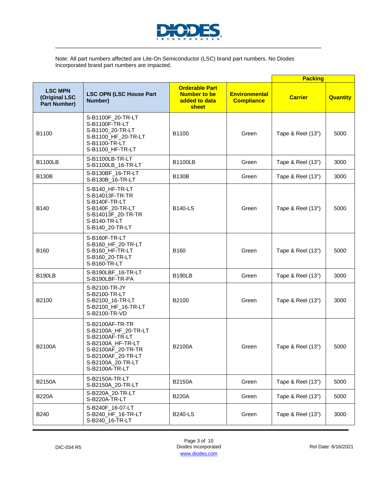

Note: All part numbers affected are Lite-On Semiconductor (LSC) brand part numbers. No Diodes Incorporated brand part numbers are impacted.

|                                                        |                                                                                                                                                                    |                                                                        |                                           | <b>Packing</b>    |                 |
|--------------------------------------------------------|--------------------------------------------------------------------------------------------------------------------------------------------------------------------|------------------------------------------------------------------------|-------------------------------------------|-------------------|-----------------|
| <b>LSC MPN</b><br>(Original LSC<br><b>Part Number)</b> | <b>LSC OPN (LSC House Part</b><br>Number)                                                                                                                          | <b>Orderable Part</b><br><b>Number to be</b><br>added to data<br>sheet | <b>Environmental</b><br><b>Compliance</b> | <b>Carrier</b>    | <b>Quantity</b> |
| B1100                                                  | S-B1100F_20-TR-LT<br>S-B1100F-TR-LT<br>S-B1100_20-TR-LT<br>S-B1100_HF_20-TR-LT<br>S-B1100-TR-LT<br>S-B1100_HF-TR-LT                                                | B1100                                                                  | Green                                     | Tape & Reel (13") | 5000            |
| <b>B1100LB</b>                                         | S-B1100LB-TR-LT<br>S-B1100LB_16-TR-LT                                                                                                                              | <b>B1100LB</b>                                                         | Green                                     | Tape & Reel (13") | 3000            |
| <b>B130B</b>                                           | S-B130BF_16-TR-LT<br>S-B130B_16-TR-LT                                                                                                                              | <b>B130B</b>                                                           | Green                                     | Tape & Reel (13") | 3000            |
| B140                                                   | S-B140 HF-TR-LT<br>S-B14013F-TR-TR<br>S-B140F-TR-LT<br>S-B140F 20-TR-LT<br>S-B14013F_20-TR-TR<br>S-B140-TR-LT<br>S-B140_20-TR-LT                                   | <b>B140-LS</b>                                                         | Green                                     | Tape & Reel (13") | 5000            |
| B160                                                   | S-B160F-TR-LT<br>S-B160_HF_20-TR-LT<br>S-B160_HF-TR-LT<br>S-B160_20-TR-LT<br>S-B160-TR-LT                                                                          | B160                                                                   | Green                                     | Tape & Reel (13") | 5000            |
| <b>B190LB</b>                                          | S-B190LBF_16-TR-LT<br>S-B190LBF-TR-PA                                                                                                                              | <b>B190LB</b>                                                          | Green                                     | Tape & Reel (13") | 3000            |
| B2100                                                  | S-B2100-TR-JY<br>S-B2100-TR-LT<br>S-B2100_16-TR-LT<br>S-B2100_HF_16-TR-LT<br>S-B2100-TR-VD                                                                         | B2100                                                                  | Green                                     | Tape & Reel (13") | 3000            |
| <b>B2100A</b>                                          | S-B2100AF-TR-TR<br>S-B2100A_HF_20-TR-LT<br>S-B2100AF-TR-LT<br>S-B2100A_HF-TR-LT<br>S-B2100AF_20-TR-TR<br>S-B2100AF_20-TR-LT<br>S-B2100A_20-TR-LT<br>S-B2100A-TR-LT | <b>B2100A</b>                                                          | Green                                     | Tape & Reel (13") | 5000            |
| <b>B2150A</b>                                          | S-B2150A-TR-LT<br>S-B2150A_20-TR-LT                                                                                                                                | <b>B2150A</b>                                                          | Green                                     | Tape & Reel (13") | 5000            |
| <b>B220A</b>                                           | S-B220A_20-TR-LT<br>S-B220A-TR-LT                                                                                                                                  | <b>B220A</b>                                                           | Green                                     | Tape & Reel (13") | 5000            |
| <b>B240</b>                                            | S-B240F_16-07-LT<br>S-B240_HF_16-TR-LT<br>S-B240_16-TR-LT                                                                                                          | <b>B240-LS</b>                                                         | Green                                     | Tape & Reel (13") | 3000            |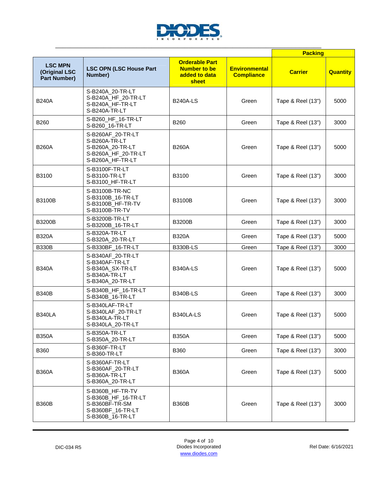

|                                                        |                                                                                                    |                                                                        | <b>Packing</b>                            |                   |                 |
|--------------------------------------------------------|----------------------------------------------------------------------------------------------------|------------------------------------------------------------------------|-------------------------------------------|-------------------|-----------------|
| <b>LSC MPN</b><br>(Original LSC<br><b>Part Number)</b> | <b>LSC OPN (LSC House Part</b><br>Number)                                                          | <b>Orderable Part</b><br><b>Number to be</b><br>added to data<br>sheet | <b>Environmental</b><br><b>Compliance</b> | <b>Carrier</b>    | <b>Quantity</b> |
| <b>B240A</b>                                           | S-B240A_20-TR-LT<br>S-B240A_HF_20-TR-LT<br>S-B240A HF-TR-LT<br>S-B240A-TR-LT                       | <b>B240A-LS</b>                                                        | Green                                     | Tape & Reel (13") | 5000            |
| B260                                                   | S-B260_HF_16-TR-LT<br>S-B260_16-TR-LT                                                              | B260                                                                   | Green                                     | Tape & Reel (13") | 3000            |
| <b>B260A</b>                                           | S-B260AF_20-TR-LT<br>S-B260A-TR-LT<br>S-B260A_20-TR-LT<br>S-B260A_HF_20-TR-LT<br>S-B260A_HF-TR-LT  | <b>B260A</b>                                                           | Green                                     | Tape & Reel (13") | 5000            |
| B3100                                                  | S-B3100F-TR-LT<br>S-B3100-TR-LT<br>S-B3100_HF-TR-LT                                                | B3100                                                                  | Green                                     | Tape & Reel (13") | 3000            |
| <b>B3100B</b>                                          | S-B3100B-TR-NC<br>S-B3100B_16-TR-LT<br>S-B3100B_HF-TR-TV<br>S-B3100B-TR-TV                         | <b>B3100B</b>                                                          | Green                                     | Tape & Reel (13") | 3000            |
| <b>B3200B</b>                                          | S-B3200B-TR-LT<br>S-B3200B_16-TR-LT                                                                | <b>B3200B</b>                                                          | Green                                     | Tape & Reel (13") | 3000            |
| <b>B320A</b>                                           | S-B320A-TR-LT<br>S-B320A_20-TR-LT                                                                  | <b>B320A</b>                                                           | Green                                     | Tape & Reel (13") | 5000            |
| <b>B330B</b>                                           | S-B330BF_16-TR-LT                                                                                  | <b>B330B-LS</b>                                                        | Green                                     | Tape & Reel (13") | 3000            |
| <b>B340A</b>                                           | S-B340AF_20-TR-LT<br>S-B340AF-TR-LT<br>S-B340A_SX-TR-LT<br>S-B340A-TR-LT<br>S-B340A_20-TR-LT       | <b>B340A-LS</b>                                                        | Green                                     | Tape & Reel (13") | 5000            |
| <b>B340B</b>                                           | S-B340B_HF_16-TR-LT<br>S-B340B_16-TR-LT                                                            | <b>B340B-LS</b>                                                        | Green                                     | Tape & Reel (13") | 3000            |
| <b>B340LA</b>                                          | S-B340LAF-TR-LT<br>S-B340LAF_20-TR-LT<br>S-B340LA-TR-LT<br>S-B340LA_20-TR-LT                       | B340LA-LS                                                              | Green                                     | Tape & Reel (13") | 5000            |
| <b>B350A</b>                                           | S-B350A-TR-LT<br>S-B350A_20-TR-LT                                                                  | <b>B350A</b>                                                           | Green                                     | Tape & Reel (13") | 5000            |
| <b>B360</b>                                            | S-B360F-TR-LT<br>S-B360-TR-LT                                                                      | <b>B360</b>                                                            | Green                                     | Tape & Reel (13") | 3000            |
| <b>B360A</b>                                           | S-B360AF-TR-LT<br>S-B360AF_20-TR-LT<br>S-B360A-TR-LT<br>S-B360A_20-TR-LT                           | <b>B360A</b>                                                           | Green                                     | Tape & Reel (13") | 5000            |
| <b>B360B</b>                                           | S-B360B HF-TR-TV<br>S-B360B_HF_16-TR-LT<br>S-B360BF-TR-SM<br>S-B360BF_16-TR-LT<br>S-B360B_16-TR-LT | <b>B360B</b>                                                           | Green                                     | Tape & Reel (13") | 3000            |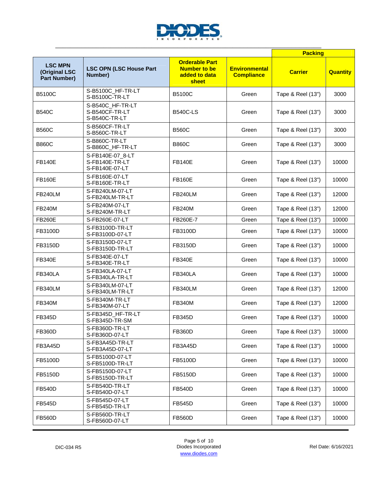

|                                                        |                                                      |                                                                        |                                           | <b>Packing</b>    |                 |
|--------------------------------------------------------|------------------------------------------------------|------------------------------------------------------------------------|-------------------------------------------|-------------------|-----------------|
| <b>LSC MPN</b><br>(Original LSC<br><b>Part Number)</b> | <b>LSC OPN (LSC House Part</b><br>Number)            | <b>Orderable Part</b><br><b>Number to be</b><br>added to data<br>sheet | <b>Environmental</b><br><b>Compliance</b> | <b>Carrier</b>    | <b>Quantity</b> |
| <b>B5100C</b>                                          | S-B5100C_HF-TR-LT<br>S-B5100C-TR-LT                  | <b>B5100C</b>                                                          | Green                                     | Tape & Reel (13") | 3000            |
| <b>B540C</b>                                           | S-B540C_HF-TR-LT<br>S-B540CF-TR-LT<br>S-B540C-TR-LT  | <b>B540C-LS</b>                                                        | Green                                     | Tape & Reel (13") | 3000            |
| <b>B560C</b>                                           | S-B560CF-TR-LT<br>S-B560C-TR-LT                      | <b>B560C</b>                                                           | Green                                     | Tape & Reel (13") | 3000            |
| <b>B860C</b>                                           | S-B860C-TR-LT<br>S-B860C_HF-TR-LT                    | <b>B860C</b>                                                           | Green                                     | Tape & Reel (13") | 3000            |
| <b>FB140E</b>                                          | S-FB140E-07_8-LT<br>S-FB140E-TR-LT<br>S-FB140E-07-LT | <b>FB140E</b>                                                          | Green                                     | Tape & Reel (13") | 10000           |
| <b>FB160E</b>                                          | S-FB160E-07-LT<br>S-FB160E-TR-LT                     | <b>FB160E</b>                                                          | Green                                     | Tape & Reel (13") | 10000           |
| FB240LM                                                | S-FB240LM-07-LT<br>S-FB240LM-TR-LT                   | FB240LM                                                                | Green                                     | Tape & Reel (13") | 12000           |
| <b>FB240M</b>                                          | S-FB240M-07-LT<br>S-FB240M-TR-LT                     | <b>FB240M</b>                                                          | Green                                     | Tape & Reel (13") | 12000           |
| <b>FB260E</b>                                          | S-FB260E-07-LT                                       | FB260E-7                                                               | Green                                     | Tape & Reel (13") | 10000           |
| FB3100D                                                | S-FB3100D-TR-LT<br>S-FB3100D-07-LT                   | FB3100D                                                                | Green                                     | Tape & Reel (13") | 10000           |
| FB3150D                                                | S-FB3150D-07-LT<br>S-FB3150D-TR-LT                   | FB3150D                                                                | Green                                     | Tape & Reel (13") | 10000           |
| <b>FB340E</b>                                          | S-FB340E-07-LT<br>S-FB340E-TR-LT                     | <b>FB340E</b>                                                          | Green                                     | Tape & Reel (13") | 10000           |
| FB340LA                                                | S-FB340LA-07-LT<br>S-FB340LA-TR-LT                   | FB340LA                                                                | Green                                     | Tape & Reel (13") | 10000           |
| FB340LM                                                | S-FB340LM-07-LT<br>S-FB340LM-TR-LT                   | FB340LM                                                                | Green                                     | Tape & Reel (13") | 12000           |
| <b>FB340M</b>                                          | S-FB340M-TR-LT<br>S-FB340M-07-LT                     | <b>FB340M</b>                                                          | Green                                     | Tape & Reel (13") | 12000           |
| <b>FB345D</b>                                          | S-FB345D_HF-TR-LT<br>S-FB345D-TR-SM                  | <b>FB345D</b>                                                          | Green                                     | Tape & Reel (13") | 10000           |
| <b>FB360D</b>                                          | S-FB360D-TR-LT<br>S-FB360D-07-LT                     | <b>FB360D</b>                                                          | Green                                     | Tape & Reel (13") | 10000           |
| FB3A45D                                                | S-FB3A45D-TR-LT<br>S-FB3A45D-07-LT                   | FB3A45D                                                                | Green                                     | Tape & Reel (13") | 10000           |
| FB5100D                                                | S-FB5100D-07-LT<br>S-FB5100D-TR-LT                   | FB5100D                                                                | Green                                     | Tape & Reel (13") | 10000           |
| FB5150D                                                | S-FB5150D-07-LT<br>S-FB5150D-TR-LT                   | FB5150D                                                                | Green                                     | Tape & Reel (13") | 10000           |
| <b>FB540D</b>                                          | S-FB540D-TR-LT<br>S-FB540D-07-LT                     | <b>FB540D</b>                                                          | Green                                     | Tape & Reel (13") | 10000           |
| <b>FB545D</b>                                          | S-FB545D-07-LT<br>S-FB545D-TR-LT                     | <b>FB545D</b>                                                          | Green                                     | Tape & Reel (13") | 10000           |
| <b>FB560D</b>                                          | S-FB560D-TR-LT<br>S-FB560D-07-LT                     | <b>FB560D</b>                                                          | Green                                     | Tape & Reel (13") | 10000           |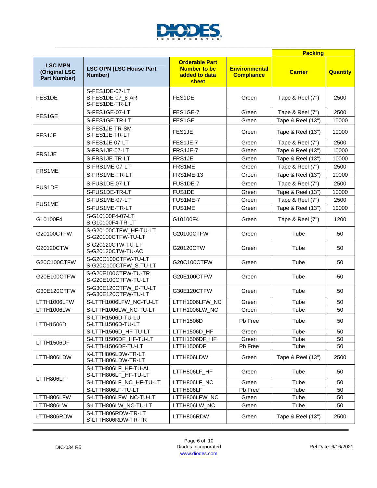

|                                                        |                                                      |                                                                        |                                           | <b>Packing</b>    |                 |
|--------------------------------------------------------|------------------------------------------------------|------------------------------------------------------------------------|-------------------------------------------|-------------------|-----------------|
| <b>LSC MPN</b><br>(Original LSC<br><b>Part Number)</b> | <b>LSC OPN (LSC House Part</b><br>Number)            | <b>Orderable Part</b><br><b>Number to be</b><br>added to data<br>sheet | <b>Environmental</b><br><b>Compliance</b> | <b>Carrier</b>    | <b>Quantity</b> |
| FES1DE                                                 | S-FES1DE-07-LT<br>S-FES1DE-07_8-AR<br>S-FES1DE-TR-LT | FES1DE                                                                 | Green                                     | Tape & Reel (7")  | 2500            |
| FES1GE                                                 | S-FES1GE-07-LT                                       | FES1GE-7                                                               | Green                                     | Tape & Reel (7")  | 2500            |
|                                                        | S-FES1GE-TR-LT                                       | FES1GE                                                                 | Green                                     | Tape & Reel (13") | 10000           |
| FES1JE                                                 | S-FES1JE-TR-SM<br>S-FES1JE-TR-LT                     | FES1JE                                                                 | Green                                     | Tape & Reel (13") | 10000           |
|                                                        | S-FES1JE-07-LT                                       | FES1JE-7                                                               | Green                                     | Tape & Reel (7")  | 2500            |
| FRS1JE                                                 | S-FRS1JE-07-LT                                       | FRS1JE-7                                                               | Green                                     | Tape & Reel (13") | 10000           |
|                                                        | S-FRS1JE-TR-LT                                       | FRS1JE                                                                 | Green                                     | Tape & Reel (13") | 10000           |
| FRS1ME                                                 | S-FRS1ME-07-LT                                       | FRS1ME                                                                 | Green                                     | Tape & Reel (7")  | 2500            |
|                                                        | S-FRS1ME-TR-LT                                       | <b>FRS1ME-13</b>                                                       | Green                                     | Tape & Reel (13") | 10000           |
| FUS1DE                                                 | S-FUS1DE-07-LT                                       | FUS1DE-7                                                               | Green                                     | Tape & Reel (7")  | 2500            |
|                                                        | S-FUS1DE-TR-LT                                       | FUS1DE                                                                 | Green                                     | Tape & Reel (13") | 10000           |
| <b>FUS1ME</b>                                          | S-FUS1ME-07-LT                                       | FUS1ME-7                                                               | Green                                     | Tape & Reel (7")  | 2500            |
|                                                        | S-FUS1ME-TR-LT                                       | FUS1ME                                                                 | Green                                     | Tape & Reel (13") | 10000           |
| G10100F4                                               | S-G10100F4-07-LT<br>S-G10100F4-TR-LT                 | G10100F4                                                               | Green                                     | Tape & Reel (7")  | 1200            |
| G20100CTFW                                             | S-G20100CTFW_HF-TU-LT<br>S-G20100CTFW-TU-LT          | G20100CTFW                                                             | Green                                     | Tube              | 50              |
| G20120CTW                                              | S-G20120CTW-TU-LT<br>S-G20120CTW-TU-AC               | G20120CTW                                                              | Green                                     | Tube              | 50              |
| G20C100CTFW                                            | S-G20C100CTFW-TU-LT<br>S-G20C100CTFW_S-TU-LT         | G20C100CTFW                                                            | Green                                     | Tube              | 50              |
| G20E100CTFW                                            | S-G20E100CTFW-TU-TR<br>S-G20E100CTFW-TU-LT           | G20E100CTFW                                                            | Green                                     | Tube              | 50              |
| G30E120CTFW                                            | S-G30E120CTFW_D-TU-LT<br>S-G30E120CTFW-TU-LT         | G30E120CTFW                                                            | Green                                     | Tube              | 50              |
| LTTH1006LFW                                            | S-LTTH1006LFW_NC-TU-LT                               | LTTH1006LFW_NC                                                         | Green                                     | Tube              | 50              |
| LTTH1006LW                                             | S-LTTH1006LW_NC-TU-LT                                | LTTH1006LW_NC                                                          | Green                                     | Tube              | 50              |
| LTTH1506D                                              | S-LTTH1506D-TU-LU<br>S-LTTH1506D-TU-LT               | LTTH1506D                                                              | Pb Free                                   | Tube              | 50              |
|                                                        | S-LTTH1506D_HF-TU-LT                                 | LTTH1506D_HF                                                           | Green                                     | Tube              | 50              |
| LTTH1506DF                                             | S-LTTH1506DF_HF-TU-LT                                | LTTH1506DF_HF                                                          | Green                                     | Tube              | 50              |
|                                                        | S-LTTH1506DF-TU-LT                                   | LTTH1506DF                                                             | Pb Free                                   | Tube              | 50              |
| LTTH806LDW                                             | K-LTTH806LDW-TR-LT<br>S-LTTH806LDW-TR-LT             | LTTH806LDW                                                             | Green                                     | Tape & Reel (13") | 2500            |
|                                                        | S-LTTH806LF_HF-TU-AL<br>S-LTTH806LF_HF-TU-LT         | LTTH806LF_HF                                                           | Green                                     | Tube              | 50              |
| LTTH806LF                                              | S-LTTH806LF_NC_HF-TU-LT                              | LTTH806LF_NC                                                           | Green                                     | Tube              | 50              |
|                                                        | S-LTTH806LF-TU-LT                                    | LTTH806LF                                                              | Pb Free                                   | Tube              | 50              |
| LTTH806LFW                                             | S-LTTH806LFW_NC-TU-LT                                | LTTH806LFW_NC                                                          | Green                                     | Tube              | 50              |
| LTTH806LW                                              | S-LTTH806LW_NC-TU-LT                                 | LTTH806LW_NC                                                           | Green                                     | Tube              | 50              |
| LTTH806RDW                                             | S-LTTH806RDW-TR-LT<br>S-LTTH806RDW-TR-TR             | LTTH806RDW                                                             | Green                                     | Tape & Reel (13") | 2500            |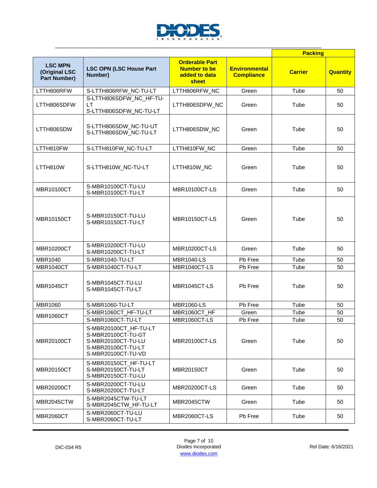

|                                                        |                                                                                                               |                                                                        |                                           | <b>Packing</b> |                 |
|--------------------------------------------------------|---------------------------------------------------------------------------------------------------------------|------------------------------------------------------------------------|-------------------------------------------|----------------|-----------------|
| <b>LSC MPN</b><br>(Original LSC<br><b>Part Number)</b> | <b>LSC OPN (LSC House Part</b><br>Number)                                                                     | <b>Orderable Part</b><br><b>Number to be</b><br>added to data<br>sheet | <b>Environmental</b><br><b>Compliance</b> | <b>Carrier</b> | <b>Quantity</b> |
| LTTH806RFW                                             | S-LTTH806RFW_NC-TU-LT                                                                                         | LTTH806RFW_NC                                                          | Green                                     | Tube           | 50              |
| LTTH806SDFW                                            | S-LTTH806SDFW_NC_HF-TU-<br><b>LT</b><br>S-LTTH806SDFW_NC-TU-LT                                                | LTTH806SDFW_NC                                                         | Green                                     | Tube           | 50              |
| LTTH806SDW                                             | S-LTTH806SDW_NC-TU-UT<br>S-LTTH806SDW_NC-TU-LT                                                                | LTTH806SDW_NC                                                          | Green                                     | Tube           | 50              |
| LTTH810FW                                              | S-LTTH810FW_NC-TU-LT                                                                                          | LTTH810FW_NC                                                           | Green                                     | Tube           | 50              |
| LTTH810W                                               | S-LTTH810W_NC-TU-LT                                                                                           | LTTH810W_NC                                                            | Green                                     | Tube           | 50              |
| <b>MBR10100CT</b>                                      | S-MBR10100CT-TU-LU<br>S-MBR10100CT-TU-LT                                                                      | <b>MBR10100CT-LS</b>                                                   | Green                                     | Tube           | 50              |
| <b>MBR10150CT</b>                                      | S-MBR10150CT-TU-LU<br>S-MBR10150CT-TU-LT                                                                      | <b>MBR10150CT-LS</b>                                                   | Green                                     | Tube           | 50              |
| MBR10200CT                                             | S-MBR10200CT-TU-LU<br>S-MBR10200CT-TU-LT                                                                      | <b>MBR10200CT-LS</b>                                                   | Green                                     | Tube           | 50              |
| <b>MBR1040</b>                                         | S-MBR1040-TU-LT                                                                                               | <b>MBR1040-LS</b>                                                      | Pb Free                                   | Tube           | 50              |
| <b>MBR1040CT</b>                                       | S-MBR1040CT-TU-LT                                                                                             | MBR1040CT-LS                                                           | Pb Free                                   | Tube           | 50              |
| <b>MBR1045CT</b>                                       | S-MBR1045CT-TU-LU<br>S-MBR1045CT-TU-LT                                                                        | <b>MBR1045CT-LS</b>                                                    | Pb Free                                   | Tube           | 50              |
| <b>MBR1060</b>                                         | S-MBR1060-TU-LT                                                                                               | <b>MBR1060-LS</b>                                                      | Pb Free                                   | Tube           | 50              |
|                                                        | S-MBR1060CT_HF-TU-LT                                                                                          | MBR1060CT_HF                                                           | Green                                     | Tube           | 50              |
| <b>MBR1060CT</b>                                       | S-MBR1060CT-TU-LT                                                                                             | MBR1060CT-LS                                                           | Pb Free                                   | Tube           | 50              |
| MBR20100CT                                             | S-MBR20100CT_HF-TU-LT<br>S-MBR20100CT-TU-GT<br>S-MBR20100CT-TU-LU<br>S-MBR20100CT-TU-LT<br>S-MBR20100CT-TU-VD | <b>MBR20100CT-LS</b>                                                   | Green                                     | Tube           | 50              |
| MBR20150CT                                             | S-MBR20150CT_HF-TU-LT<br>S-MBR20150CT-TU-LT<br>S-MBR20150CT-TU-LU                                             | MBR20150CT                                                             | Green                                     | Tube           | 50              |
| MBR20200CT                                             | S-MBR20200CT-TU-LU<br>S-MBR20200CT-TU-LT                                                                      | <b>MBR20200CT-LS</b>                                                   | Green                                     | Tube           | 50              |
| MBR2045CTW                                             | S-MBR2045CTW-TU-LT<br>S-MBR2045CTW_HF-TU-LT                                                                   | MBR2045CTW                                                             | Green                                     | Tube           | 50              |
| <b>MBR2060CT</b>                                       | S-MBR2060CT-TU-LU<br>S-MBR2060CT-TU-LT                                                                        | <b>MBR2060CT-LS</b>                                                    | Pb Free                                   | Tube           | 50              |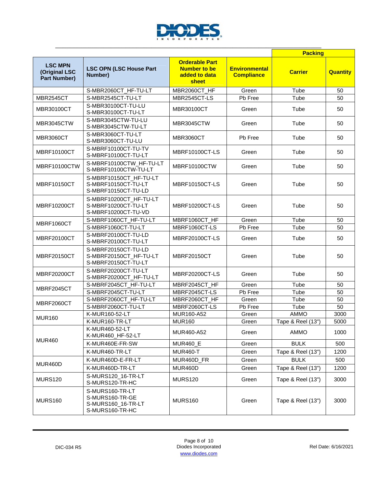

|                                                        |                                                                             |                                                                        |                                           | <b>Packing</b>            |                 |
|--------------------------------------------------------|-----------------------------------------------------------------------------|------------------------------------------------------------------------|-------------------------------------------|---------------------------|-----------------|
| <b>LSC MPN</b><br>(Original LSC<br><b>Part Number)</b> | <b>LSC OPN (LSC House Part</b><br>Number)                                   | <b>Orderable Part</b><br><b>Number to be</b><br>added to data<br>sheet | <b>Environmental</b><br><b>Compliance</b> | <b>Carrier</b>            | <b>Quantity</b> |
|                                                        | S-MBR2060CT_HF-TU-LT                                                        | MBR2060CT_HF                                                           | Green                                     | Tube                      | 50              |
| <b>MBR2545CT</b>                                       | S-MBR2545CT-TU-LT                                                           | MBR2545CT-LS                                                           | Pb Free                                   | Tube                      | 50              |
| MBR30100CT                                             | S-MBR30100CT-TU-LU<br>S-MBR30100CT-TU-LT                                    | MBR30100CT                                                             | Green                                     | Tube                      | 50              |
| MBR3045CTW                                             | S-MBR3045CTW-TU-LU<br>S-MBR3045CTW-TU-LT                                    | MBR3045CTW                                                             | Green                                     | Tube                      | 50              |
| <b>MBR3060CT</b>                                       | S-MBR3060CT-TU-LT<br>S-MBR3060CT-TU-LU                                      | <b>MBR3060CT</b>                                                       | Pb Free                                   | Tube                      | 50              |
| <b>MBRF10100CT</b>                                     | S-MBRF10100CT-TU-TV<br>S-MBRF10100CT-TU-LT                                  | <b>MBRF10100CT-LS</b>                                                  | Green                                     | Tube                      | 50              |
| MBRF10100CTW                                           | S-MBRF10100CTW_HF-TU-LT<br>S-MBRF10100CTW-TU-LT                             | MBRF10100CTW                                                           | Green                                     | Tube                      | 50              |
| <b>MBRF10150CT</b>                                     | S-MBRF10150CT_HF-TU-LT<br>S-MBRF10150CT-TU-LT<br>S-MBRF10150CT-TU-LD        | MBRF10150CT-LS                                                         | Green                                     | Tube                      | 50              |
| <b>MBRF10200CT</b>                                     | S-MBRF10200CT_HF-TU-LT<br>S-MBRF10200CT-TU-LT<br>S-MBRF10200CT-TU-VD        | <b>MBRF10200CT-LS</b>                                                  | Green                                     | Tube                      | 50              |
| MBRF1060CT                                             | S-MBRF1060CT_HF-TU-LT                                                       | MBRF1060CT HF                                                          | Green                                     | Tube                      | 50              |
|                                                        | S-MBRF1060CT-TU-LT                                                          | MBRF1060CT-LS                                                          | Pb Free                                   | Tube                      | 50              |
| <b>MBRF20100CT</b>                                     | S-MBRF20100CT-TU-LD<br>S-MBRF20100CT-TU-LT                                  | MBRF20100CT-LS                                                         | Green                                     | Tube                      | 50              |
| <b>MBRF20150CT</b>                                     | S-MBRF20150CT-TU-LD<br>S-MBRF20150CT_HF-TU-LT<br>S-MBRF20150CT-TU-LT        | <b>MBRF20150CT</b>                                                     | Green                                     | Tube                      | 50              |
| MBRF20200CT                                            | S-MBRF20200CT-TU-LT<br>S-MBRF20200CT_HF-TU-LT                               | MBRF20200CT-LS                                                         | Green                                     | Tube                      | 50              |
| MBRF2045CT                                             | S-MBRF2045CT_HF-TU-LT                                                       | MBRF2045CT_HF                                                          | Green                                     | Tube                      | 50              |
|                                                        | S-MBRF2045CT-TU-LT                                                          | MBRF2045CT-LS                                                          | Pb Free                                   | Tube                      | 50              |
| MBRF2060CT                                             | S-MBRF2060CT_HF-TU-LT                                                       | MBRF2060CT HF                                                          | Green                                     | Tube                      | 50              |
|                                                        | S-MBRF2060CT-TU-LT                                                          | MBRF2060CT-LS                                                          | Pb Free                                   | Tube                      | 50              |
| <b>MUR160</b>                                          | K-MUR160-52-LT                                                              | MUR160-A52                                                             | Green                                     | AMMO                      | 3000            |
|                                                        | K-MUR160-TR-LT<br>K-MUR460-52-LT                                            | <b>MUR160</b><br>MUR460-A52                                            | Green<br>Green                            | Tape & Reel (13")<br>AMMO | 5000<br>1000    |
| <b>MUR460</b>                                          | K-MUR460_HF-52-LT                                                           |                                                                        |                                           |                           |                 |
|                                                        | K-MUR460E-FR-SW                                                             | <b>MUR460_E</b>                                                        | Green                                     | <b>BULK</b>               | 500             |
|                                                        | K-MUR460-TR-LT                                                              | <b>MUR460-T</b>                                                        | Green                                     | Tape & Reel (13")         | 1200            |
| MUR460D                                                | K-MUR460D-E-FR-LT                                                           | MUR460D_FR                                                             | Green                                     | <b>BULK</b>               | 500             |
|                                                        | K-MUR460D-TR-LT                                                             | MUR460D                                                                | Green                                     | Tape & Reel (13")         | 1200            |
| <b>MURS120</b>                                         | S-MURS120_16-TR-LT<br>S-MURS120-TR-HC                                       | <b>MURS120</b>                                                         | Green                                     | Tape & Reel (13")         | 3000            |
| <b>MURS160</b>                                         | S-MURS160-TR-LT<br>S-MURS160-TR-GE<br>S-MURS160_16-TR-LT<br>S-MURS160-TR-HC | <b>MURS160</b>                                                         | Green                                     | Tape & Reel (13")         | 3000            |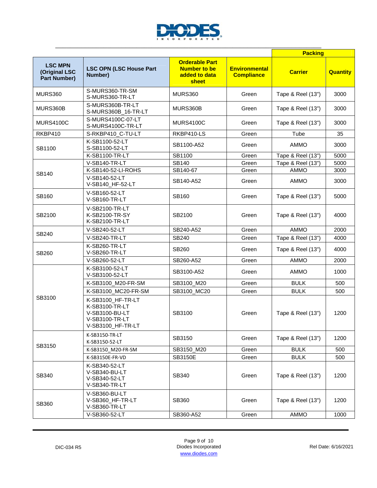

|                                                        |                                                                                              |                                                                        |                                           | <b>Packing</b>    |                 |
|--------------------------------------------------------|----------------------------------------------------------------------------------------------|------------------------------------------------------------------------|-------------------------------------------|-------------------|-----------------|
| <b>LSC MPN</b><br>(Original LSC<br><b>Part Number)</b> | <b>LSC OPN (LSC House Part</b><br>Number)                                                    | <b>Orderable Part</b><br><b>Number to be</b><br>added to data<br>sheet | <b>Environmental</b><br><b>Compliance</b> | <b>Carrier</b>    | <b>Quantity</b> |
| <b>MURS360</b>                                         | S-MURS360-TR-SM<br>S-MURS360-TR-LT                                                           | <b>MURS360</b>                                                         | Green                                     | Tape & Reel (13") | 3000            |
| MURS360B                                               | S-MURS360B-TR-LT<br>S-MURS360B_16-TR-LT                                                      | MURS360B                                                               | Green                                     | Tape & Reel (13") | 3000            |
| <b>MURS4100C</b>                                       | S-MURS4100C-07-LT<br>S-MURS4100C-TR-LT                                                       | <b>MURS4100C</b>                                                       | Green                                     | Tape & Reel (13") | 3000            |
| RKBP410                                                | S-RKBP410_C-TU-LT                                                                            | RKBP410-LS                                                             | Green                                     | Tube              | 35              |
| SB1100                                                 | K-SB1100-52-LT<br>S-SB1100-52-LT                                                             | SB1100-A52                                                             | Green                                     | <b>AMMO</b>       | 3000            |
|                                                        | K-SB1100-TR-LT                                                                               | SB1100                                                                 | Green                                     | Tape & Reel (13") | 5000            |
|                                                        | V-SB140-TR-LT                                                                                | SB140                                                                  | Green                                     | Tape & Reel (13") | 5000            |
| SB140                                                  | K-SB140-52-LI-ROHS                                                                           | SB140-67                                                               | Green                                     | <b>AMMO</b>       | 3000            |
|                                                        | V-SB140-52-LT<br>V-SB140_HF-52-LT                                                            | SB140-A52                                                              | Green                                     | AMMO              | 3000            |
| SB160                                                  | V-SB160-52-LT<br>V-SB160-TR-LT                                                               | SB160                                                                  | Green                                     | Tape & Reel (13") | 5000            |
| SB2100                                                 | V-SB2100-TR-LT<br>K-SB2100-TR-SY<br>K-SB2100-TR-LT                                           | SB2100                                                                 | Green                                     | Tape & Reel (13") | 4000            |
|                                                        | V-SB240-52-LT                                                                                | SB240-A52                                                              | Green                                     | <b>AMMO</b>       | 2000            |
| SB240                                                  | V-SB240-TR-LT                                                                                | SB240                                                                  | Green                                     | Tape & Reel (13") | 4000            |
| SB260                                                  | K-SB260-TR-LT<br>V-SB260-TR-LT                                                               | SB260                                                                  | Green                                     | Tape & Reel (13") | 4000            |
|                                                        | V-SB260-52-LT                                                                                | SB260-A52                                                              | Green                                     | <b>AMMO</b>       | 2000            |
|                                                        | K-SB3100-52-LT<br>V-SB3100-52-LT                                                             | SB3100-A52                                                             | Green                                     | <b>AMMO</b>       | 1000            |
|                                                        | K-SB3100 M20-FR-SM                                                                           | SB3100_M20                                                             | Green                                     | <b>BULK</b>       | 500             |
|                                                        | K-SB3100_MC20-FR-SM                                                                          | SB3100 MC20                                                            | Green                                     | <b>BULK</b>       | 500             |
| SB3100                                                 | K-SB3100_HF-TR-LT<br>K-SB3100-TR-LT<br>V-SB3100-BU-LT<br>V-SB3100-TR-LT<br>V-SB3100_HF-TR-LT | SB3100                                                                 | Green                                     | Tape & Reel (13") | 1200            |
|                                                        | K-SB3150-TR-LT<br>K-SB3150-52-LT                                                             | SB3150                                                                 | Green                                     | Tape & Reel (13") | 1200            |
| SB3150                                                 | K-SB3150_M20-FR-SM                                                                           | SB3150_M20                                                             | Green                                     | <b>BULK</b>       | 500             |
|                                                        | K-SB3150E-FR-VD                                                                              | <b>SB3150E</b>                                                         | Green                                     | <b>BULK</b>       | 500             |
| SB340                                                  | K-SB340-52-LT<br>V-SB340-BU-LT<br>V-SB340-52-LT<br>V-SB340-TR-LT                             | SB340                                                                  | Green                                     | Tape & Reel (13") | 1200            |
| SB360                                                  | V-SB360-BU-LT<br>V-SB360_HF-TR-LT<br>V-SB360-TR-LT                                           | SB360                                                                  | Green                                     | Tape & Reel (13") | 1200            |
|                                                        | V-SB360-52-LT                                                                                | SB360-A52                                                              | Green                                     | AMMO              | 1000            |